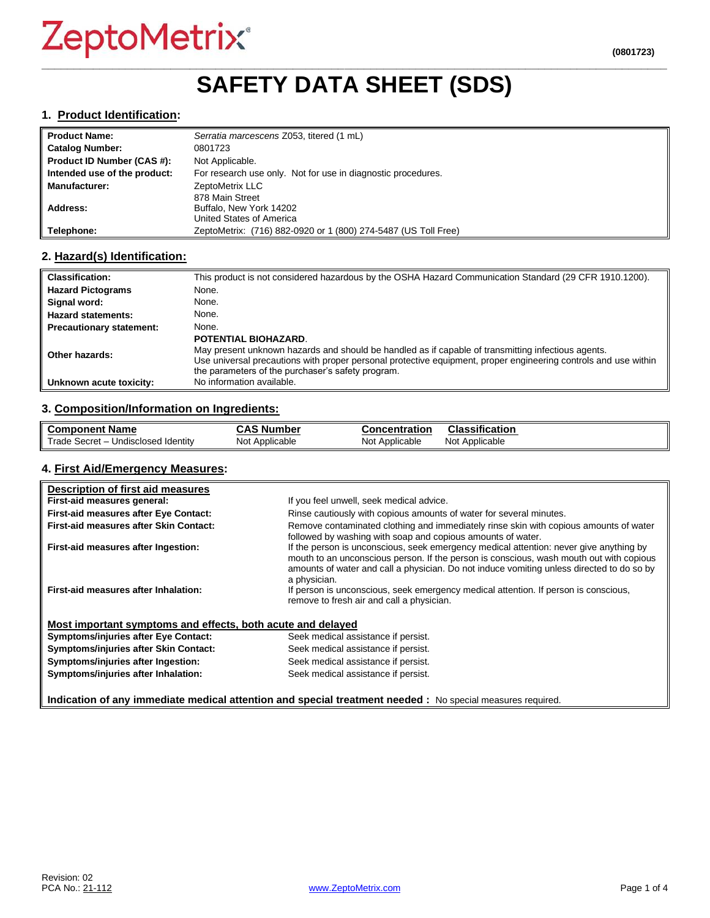# ZeptoMetrix®

### **\_\_\_\_\_\_\_\_\_\_\_\_\_\_\_\_\_\_\_\_\_\_\_\_\_\_\_\_\_\_\_\_\_\_\_\_\_\_\_\_\_\_\_\_\_\_\_\_\_\_\_\_\_\_\_\_\_\_\_\_\_\_\_\_\_\_\_\_\_\_\_\_\_\_\_\_\_\_\_\_\_\_\_\_\_\_\_\_\_\_\_\_\_\_\_\_\_ SAFETY DATA SHEET (SDS)**

#### **1. Product Identification:**

| ll Product Name:             | Serratia marcescens Z053, titered (1 mL)                       |
|------------------------------|----------------------------------------------------------------|
| Catalog Number:              | 0801723                                                        |
| Product ID Number (CAS #):   | Not Applicable.                                                |
| Intended use of the product: | For research use only. Not for use in diagnostic procedures.   |
| <b>Manufacturer:</b>         | ZeptoMetrix LLC                                                |
|                              | 878 Main Street                                                |
| Address:                     | Buffalo, New York 14202                                        |
|                              | United States of America                                       |
| Telephone:                   | ZeptoMetrix: (716) 882-0920 or 1 (800) 274-5487 (US Toll Free) |

#### **2. Hazard(s) Identification:**

| <b>Classification:</b>          | This product is not considered hazardous by the OSHA Hazard Communication Standard (29 CFR 1910.1200).                                                                                                                                                                                                    |
|---------------------------------|-----------------------------------------------------------------------------------------------------------------------------------------------------------------------------------------------------------------------------------------------------------------------------------------------------------|
| <b>Hazard Pictograms</b>        | None.                                                                                                                                                                                                                                                                                                     |
| Signal word:                    | None.                                                                                                                                                                                                                                                                                                     |
| <b>Hazard statements:</b>       | None.                                                                                                                                                                                                                                                                                                     |
| <b>Precautionary statement:</b> | None.                                                                                                                                                                                                                                                                                                     |
| Other hazards:                  | <b>POTENTIAL BIOHAZARD.</b><br>May present unknown hazards and should be handled as if capable of transmitting infectious agents.<br>Use universal precautions with proper personal protective equipment, proper engineering controls and use within<br>the parameters of the purchaser's safety program. |
| Unknown acute toxicity:         | No information available.                                                                                                                                                                                                                                                                                 |

#### **3. Composition/Information on Ingredients:**

| <b>Component Name</b>                               | $\ddot{\bullet}$<br>، Number<br>טמע | <b>Concentration</b> | Classification    |
|-----------------------------------------------------|-------------------------------------|----------------------|-------------------|
| Trade,<br>Undisclosed Identity<br>– Secret <i>-</i> | Not Applicable                      | Not Applicable       | Applicable<br>Not |

#### **4. First Aid/Emergency Measures:**

| Description of first aid measures                                                                          |                                                                                                                                                                                                                                                                                                |  |
|------------------------------------------------------------------------------------------------------------|------------------------------------------------------------------------------------------------------------------------------------------------------------------------------------------------------------------------------------------------------------------------------------------------|--|
| First-aid measures general:                                                                                | If you feel unwell, seek medical advice.                                                                                                                                                                                                                                                       |  |
| First-aid measures after Eye Contact:                                                                      | Rinse cautiously with copious amounts of water for several minutes.                                                                                                                                                                                                                            |  |
| First-aid measures after Skin Contact:                                                                     | Remove contaminated clothing and immediately rinse skin with copious amounts of water<br>followed by washing with soap and copious amounts of water.                                                                                                                                           |  |
| First-aid measures after Ingestion:                                                                        | If the person is unconscious, seek emergency medical attention: never give anything by<br>mouth to an unconscious person. If the person is conscious, wash mouth out with copious<br>amounts of water and call a physician. Do not induce vomiting unless directed to do so by<br>a physician. |  |
| First-aid measures after Inhalation:                                                                       | If person is unconscious, seek emergency medical attention. If person is conscious,<br>remove to fresh air and call a physician.                                                                                                                                                               |  |
| Most important symptoms and effects, both acute and delayed                                                |                                                                                                                                                                                                                                                                                                |  |
| <b>Symptoms/injuries after Eye Contact:</b>                                                                | Seek medical assistance if persist.                                                                                                                                                                                                                                                            |  |
| Symptoms/injuries after Skin Contact:                                                                      | Seek medical assistance if persist.                                                                                                                                                                                                                                                            |  |
| Symptoms/injuries after Ingestion:                                                                         | Seek medical assistance if persist.                                                                                                                                                                                                                                                            |  |
| Symptoms/injuries after Inhalation:                                                                        | Seek medical assistance if persist.                                                                                                                                                                                                                                                            |  |
| Indication of any immediate medical attention and special treatment needed : No special measures required. |                                                                                                                                                                                                                                                                                                |  |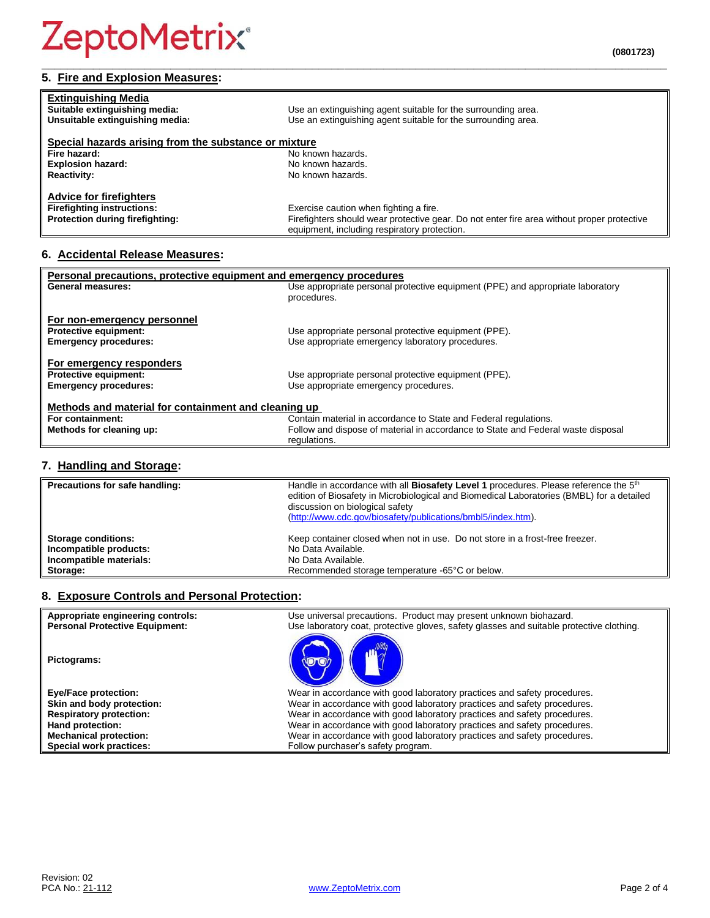### **5. Fire and Explosion Measures:**

| <b>Extinguishing Media</b><br>Suitable extinguishing media:                                            | Use an extinguishing agent suitable for the surrounding area.                                                                                                                        |
|--------------------------------------------------------------------------------------------------------|--------------------------------------------------------------------------------------------------------------------------------------------------------------------------------------|
| Unsuitable extinguishing media:                                                                        | Use an extinguishing agent suitable for the surrounding area.                                                                                                                        |
| Special hazards arising from the substance or mixture                                                  |                                                                                                                                                                                      |
| Fire hazard:                                                                                           | No known hazards.                                                                                                                                                                    |
| <b>Explosion hazard:</b>                                                                               | No known hazards.                                                                                                                                                                    |
| <b>Reactivity:</b>                                                                                     | No known hazards.                                                                                                                                                                    |
| <b>Advice for firefighters</b><br><b>Firefighting instructions:</b><br>Protection during firefighting: | Exercise caution when fighting a fire.<br>Firefighters should wear protective gear. Do not enter fire area without proper protective<br>equipment, including respiratory protection. |

**\_\_\_\_\_\_\_\_\_\_\_\_\_\_\_\_\_\_\_\_\_\_\_\_\_\_\_\_\_\_\_\_\_\_\_\_\_\_\_\_\_\_\_\_\_\_\_\_\_\_\_\_\_\_\_\_\_\_\_\_\_\_\_\_\_\_\_\_\_\_\_\_\_\_\_\_\_\_\_\_\_\_\_\_\_\_\_\_\_\_\_\_\_\_\_\_\_**

#### **6. Accidental Release Measures:**

| Personal precautions, protective equipment and emergency procedures |                                                                                  |  |
|---------------------------------------------------------------------|----------------------------------------------------------------------------------|--|
| <b>General measures:</b>                                            | Use appropriate personal protective equipment (PPE) and appropriate laboratory   |  |
|                                                                     | procedures.                                                                      |  |
|                                                                     |                                                                                  |  |
| For non-emergency personnel                                         |                                                                                  |  |
| <b>Protective equipment:</b>                                        | Use appropriate personal protective equipment (PPE).                             |  |
| <b>Emergency procedures:</b>                                        | Use appropriate emergency laboratory procedures.                                 |  |
|                                                                     |                                                                                  |  |
| For emergency responders                                            |                                                                                  |  |
| <b>Protective equipment:</b>                                        | Use appropriate personal protective equipment (PPE).                             |  |
|                                                                     |                                                                                  |  |
| <b>Emergency procedures:</b>                                        | Use appropriate emergency procedures.                                            |  |
|                                                                     |                                                                                  |  |
| Methods and material for containment and cleaning up                |                                                                                  |  |
| For containment:                                                    | Contain material in accordance to State and Federal regulations.                 |  |
| Methods for cleaning up:                                            | Follow and dispose of material in accordance to State and Federal waste disposal |  |
|                                                                     | regulations.                                                                     |  |

#### **7. Handling and Storage:**

| Precautions for safe handling: | Handle in accordance with all <b>Biosafety Level 1</b> procedures. Please reference the 5 <sup>th</sup><br>edition of Biosafety in Microbiological and Biomedical Laboratories (BMBL) for a detailed<br>discussion on biological safety<br>(http://www.cdc.gov/biosafety/publications/bmbl5/index.htm). |
|--------------------------------|---------------------------------------------------------------------------------------------------------------------------------------------------------------------------------------------------------------------------------------------------------------------------------------------------------|
| <b>Storage conditions:</b>     | Keep container closed when not in use. Do not store in a frost-free freezer.                                                                                                                                                                                                                            |
| Incompatible products:         | No Data Available.                                                                                                                                                                                                                                                                                      |
| Incompatible materials:        | No Data Available.                                                                                                                                                                                                                                                                                      |
| Storage:                       | Recommended storage temperature -65°C or below.                                                                                                                                                                                                                                                         |

#### **8. Exposure Controls and Personal Protection:**

| Appropriate engineering controls:     | Use universal precautions. Product may present unknown biohazard.                        |
|---------------------------------------|------------------------------------------------------------------------------------------|
| <b>Personal Protective Equipment:</b> | Use laboratory coat, protective gloves, safety glasses and suitable protective clothing. |
| Pictograms:                           |                                                                                          |
| <b>Eye/Face protection:</b>           | Wear in accordance with good laboratory practices and safety procedures.                 |
| Skin and body protection:             | Wear in accordance with good laboratory practices and safety procedures.                 |
| <b>Respiratory protection:</b>        | Wear in accordance with good laboratory practices and safety procedures.                 |
| Hand protection:                      | Wear in accordance with good laboratory practices and safety procedures.                 |
| <b>Mechanical protection:</b>         | Wear in accordance with good laboratory practices and safety procedures.                 |
| Special work practices:               | Follow purchaser's safety program.                                                       |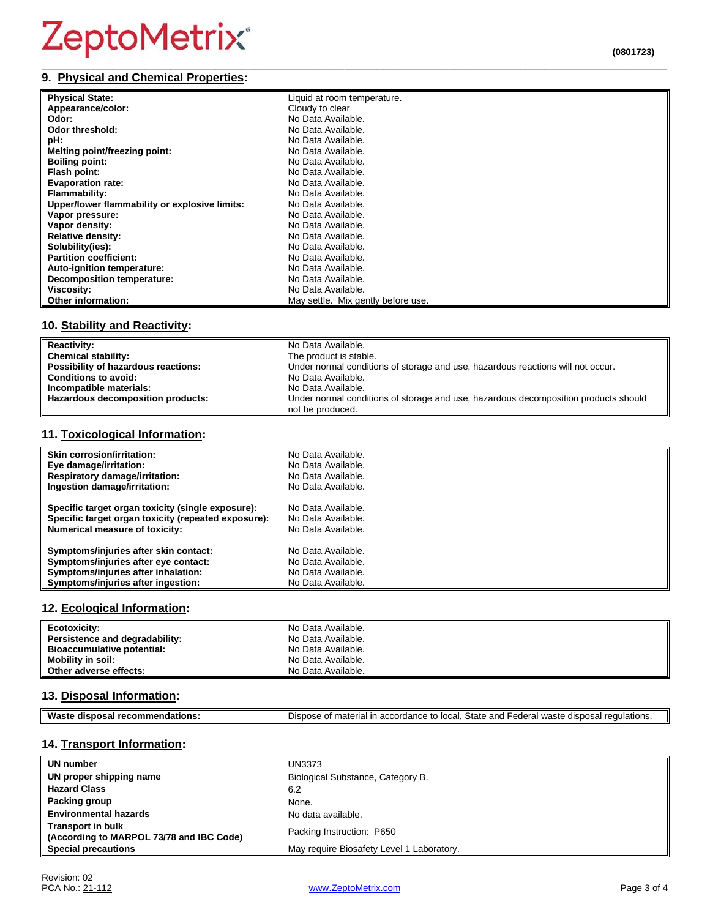### ZeptoMetrix®

#### **\_\_\_\_\_\_\_\_\_\_\_\_\_\_\_\_\_\_\_\_\_\_\_\_\_\_\_\_\_\_\_\_\_\_\_\_\_\_\_\_\_\_\_\_\_\_\_\_\_\_\_\_\_\_\_\_\_\_\_\_\_\_\_\_\_\_\_\_\_\_\_\_\_\_\_\_\_\_\_\_\_\_\_\_\_\_\_\_\_\_\_\_\_\_\_\_\_ 9. Physical and Chemical Properties:**

| . Tilysical and Chemical Flopernes. |                             |  |
|-------------------------------------|-----------------------------|--|
| <b>Physical State:</b>              | Liquid at room temperature. |  |
| Appearance/color:                   | Cloudy to clear             |  |
| Odor:                               | No Data Available.          |  |
| Odor threshold:                     | No Data Available.          |  |
| pH:                                 | No Data Available.          |  |
| Melting point/freezing point:       | No Data Available.          |  |
| <b>Boiling point:</b>               | No Data Available.          |  |
| Flash point:                        | No Data Available.          |  |
| <b>Evaporation rate:</b>            | No Data Available.          |  |
| <b>Flammability:</b>                | No Data Available.          |  |

| <b>Flash point:</b>                           | No Data Available.                 |
|-----------------------------------------------|------------------------------------|
| <b>Evaporation rate:</b>                      | No Data Available.                 |
| <b>Flammability:</b>                          | No Data Available.                 |
| Upper/lower flammability or explosive limits: | No Data Available.                 |
| Vapor pressure:                               | No Data Available.                 |
| Vapor density:                                | No Data Available.                 |
| <b>Relative density:</b>                      | No Data Available.                 |
| Solubility(ies):                              | No Data Available.                 |
| <b>Partition coefficient:</b>                 | No Data Available.                 |
| Auto-ignition temperature:                    | No Data Available.                 |
| Decomposition temperature:                    | No Data Available.                 |
| Viscosity:                                    | No Data Available.                 |
| <b>Other information:</b>                     | May settle. Mix gently before use. |

#### **10. Stability and Reactivity:**

| <b>Reactivity:</b>                  | No Data Available.                                                                  |
|-------------------------------------|-------------------------------------------------------------------------------------|
| <b>Chemical stability:</b>          | The product is stable.                                                              |
| Possibility of hazardous reactions: | Under normal conditions of storage and use, hazardous reactions will not occur.     |
| <b>Conditions to avoid:</b>         | No Data Available.                                                                  |
| Incompatible materials:             | No Data Available.                                                                  |
| Hazardous decomposition products:   | Under normal conditions of storage and use, hazardous decomposition products should |
|                                     | not be produced.                                                                    |

#### **11. Toxicological Information:**

| Skin corrosion/irritation:                          | No Data Available. |
|-----------------------------------------------------|--------------------|
| Eye damage/irritation:                              | No Data Available. |
| <b>Respiratory damage/irritation:</b>               | No Data Available. |
| Ingestion damage/irritation:                        | No Data Available. |
| Specific target organ toxicity (single exposure):   | No Data Available. |
| Specific target organ toxicity (repeated exposure): | No Data Available. |
| Numerical measure of toxicity:                      | No Data Available. |
| Symptoms/injuries after skin contact:               | No Data Available. |
| Symptoms/injuries after eye contact:                | No Data Available. |
| Symptoms/injuries after inhalation:                 | No Data Available. |
| Symptoms/injuries after ingestion:                  | No Data Available. |

#### **12. Ecological Information:**

| Ecotoxicity:                   | No Data Available. |
|--------------------------------|--------------------|
| Persistence and degradability: | No Data Available. |
| Bioaccumulative potential:     | No Data Available. |
| <b>Mobility in soil:</b>       | No Data Available. |
| Other adverse effects:         | No Data Available. |

#### **13. Disposal Information:**

| Was<br>- | $C+$<br>.<br>nnd<br>)ısr<br>$\sim$ $\sim$<br>nn+,<br><br>$\overline{\phantom{a}}$<br><br>--<br>'edulatio.<br>oldit<br>anu.<br>รเม<br>.<br>ا 1-<br>.<br>י הד<br>og 11<br>- - - - -<br>u u r<br>.<br>. |
|----------|------------------------------------------------------------------------------------------------------------------------------------------------------------------------------------------------------|

#### **14. Transport Information:**

| UN number                                                            | <b>UN3373</b>                             |
|----------------------------------------------------------------------|-------------------------------------------|
| UN proper shipping name                                              | Biological Substance, Category B.         |
| <b>Hazard Class</b>                                                  | 6.2                                       |
| Packing group                                                        | None.                                     |
| <b>Environmental hazards</b>                                         | No data available.                        |
| <b>Transport in bulk</b><br>(According to MARPOL 73/78 and IBC Code) | Packing Instruction: P650                 |
| <b>Special precautions</b>                                           | May require Biosafety Level 1 Laboratory. |